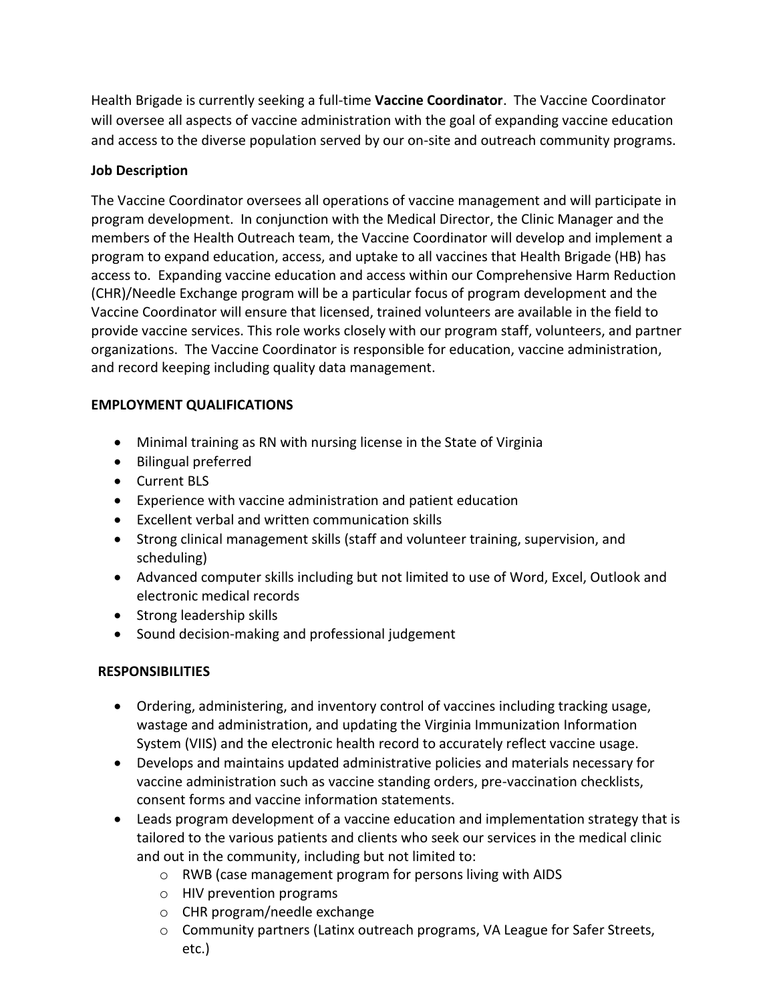Health Brigade is currently seeking a full-time **Vaccine Coordinator**. The Vaccine Coordinator will oversee all aspects of vaccine administration with the goal of expanding vaccine education and access to the diverse population served by our on-site and outreach community programs.

### **Job Description**

The Vaccine Coordinator oversees all operations of vaccine management and will participate in program development. In conjunction with the Medical Director, the Clinic Manager and the members of the Health Outreach team, the Vaccine Coordinator will develop and implement a program to expand education, access, and uptake to all vaccines that Health Brigade (HB) has access to. Expanding vaccine education and access within our Comprehensive Harm Reduction (CHR)/Needle Exchange program will be a particular focus of program development and the Vaccine Coordinator will ensure that licensed, trained volunteers are available in the field to provide vaccine services. This role works closely with our program staff, volunteers, and partner organizations. The Vaccine Coordinator is responsible for education, vaccine administration, and record keeping including quality data management.

#### **EMPLOYMENT QUALIFICATIONS**

- Minimal training as RN with nursing license in the State of Virginia
- Bilingual preferred
- Current BLS
- Experience with vaccine administration and patient education
- Excellent verbal and written communication skills
- Strong clinical management skills (staff and volunteer training, supervision, and scheduling)
- Advanced computer skills including but not limited to use of Word, Excel, Outlook and electronic medical records
- Strong leadership skills
- Sound decision-making and professional judgement

# **RESPONSIBILITIES**

- Ordering, administering, and inventory control of vaccines including tracking usage, wastage and administration, and updating the Virginia Immunization Information System (VIIS) and the electronic health record to accurately reflect vaccine usage.
- Develops and maintains updated administrative policies and materials necessary for vaccine administration such as vaccine standing orders, pre-vaccination checklists, consent forms and vaccine information statements.
- Leads program development of a vaccine education and implementation strategy that is tailored to the various patients and clients who seek our services in the medical clinic and out in the community, including but not limited to:
	- o RWB (case management program for persons living with AIDS
	- o HIV prevention programs
	- o CHR program/needle exchange
	- o Community partners (Latinx outreach programs, VA League for Safer Streets, etc.)